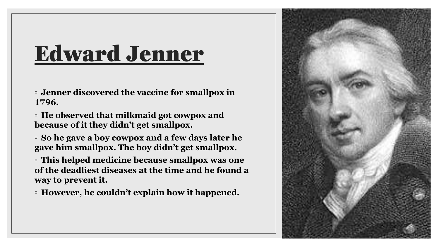#### Edward Jenner

◦ **Jenner discovered the vaccine for smallpox in 1796.**

◦ **He observed that milkmaid got cowpox and because of it they didn't get smallpox.**

◦ **So he gave a boy cowpox and a few days later he gave him smallpox. The boy didn't get smallpox.**

◦ **This helped medicine because smallpox was one of the deadliest diseases at the time and he found a way to prevent it.**

◦ **However, he couldn't explain how it happened.**

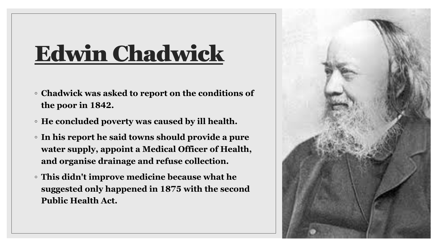#### Edwin Chadwick

- **Chadwick was asked to report on the conditions of the poor in 1842.**
- **He concluded poverty was caused by ill health.**
- **In his report he said towns should provide a pure water supply, appoint a Medical Officer of Health, and organise drainage and refuse collection.**
- **This didn't improve medicine because what he suggested only happened in 1875 with the second Public Health Act.**

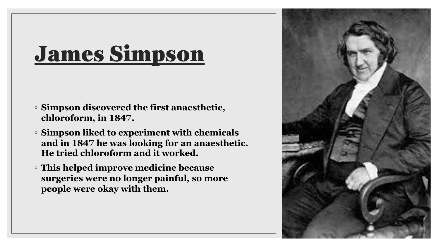#### James Simpson

- **Simpson discovered the first anaesthetic, chloroform, in 1847.**
- **Simpson liked to experiment with chemicals and in 1847 he was looking for an anaesthetic. He tried chloroform and it worked.**
- **This helped improve medicine because surgeries were no longer painful, so more people were okay with them.**

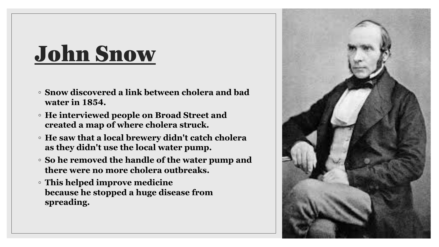### John Snow

- **Snow discovered a link between cholera and bad water in 1854.**
- **He interviewed people on Broad Street and created a map of where cholera struck.**
- **He saw that a local brewery didn't catch cholera as they didn't use the local water pump.**
- **So he removed the handle of the water pump and there were no more cholera outbreaks.**
- **This helped improve medicine because he stopped a huge disease from spreading.**

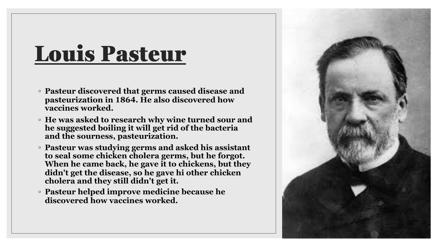#### Louis Pasteur

- **Pasteur discovered that germs caused disease and pasteurization in 1864. He also discovered how vaccines worked.**
- **He was asked to research why wine turned sour and he suggested boiling it will get rid of the bacteria and the sourness, pasteurization.**
- **Pasteur was studying germs and asked his assistant to seal some chicken cholera germs, but he forgot. When he came back, he gave it to chickens, but they didn't get the disease, so he gave hi other chicken cholera and they still didn't get it.**
- **Pasteur helped improve medicine because he discovered how vaccines worked.**

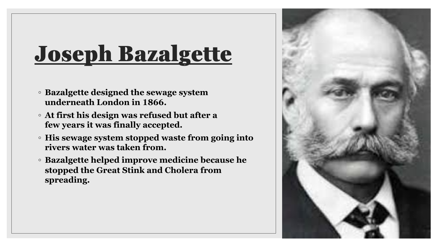# Joseph Bazalgette

- **Bazalgette designed the sewage system underneath London in 1866.**
- **At first his design was refused but after a few years it was finally accepted.**
- **His sewage system stopped waste from going into rivers water was taken from.**
- **Bazalgette helped improve medicine because he stopped the Great Stink and Cholera from spreading.**

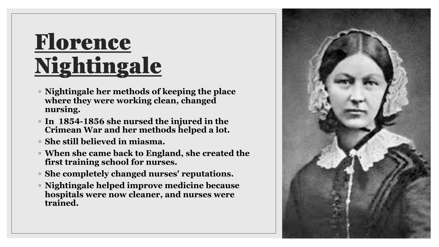# Florence Nightingale

- **Nightingale her methods of keeping the place where they were working clean, changed nursing.**
- **In 1854-1856 she nursed the injured in the Crimean War and her methods helped a lot.**
- **She still believed in miasma.**
- **When she came back to England, she created the first training school for nurses.**
- **She completely changed nurses' reputations.**
- **Nightingale helped improve medicine because hospitals were now cleaner, and nurses were trained.**

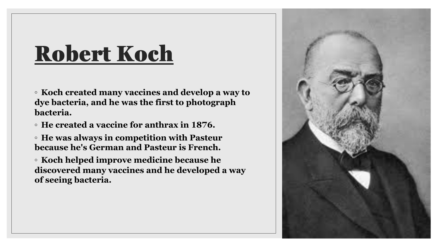#### Robert Koch

◦ **Koch created many vaccines and develop a way to dye bacteria, and he was the first to photograph bacteria.**

◦ **He created a vaccine for anthrax in 1876.**

◦ **He was always in competition with Pasteur because he's German and Pasteur is French.**

◦ **Koch helped improve medicine because he discovered many vaccines and he developed a way of seeing bacteria.**